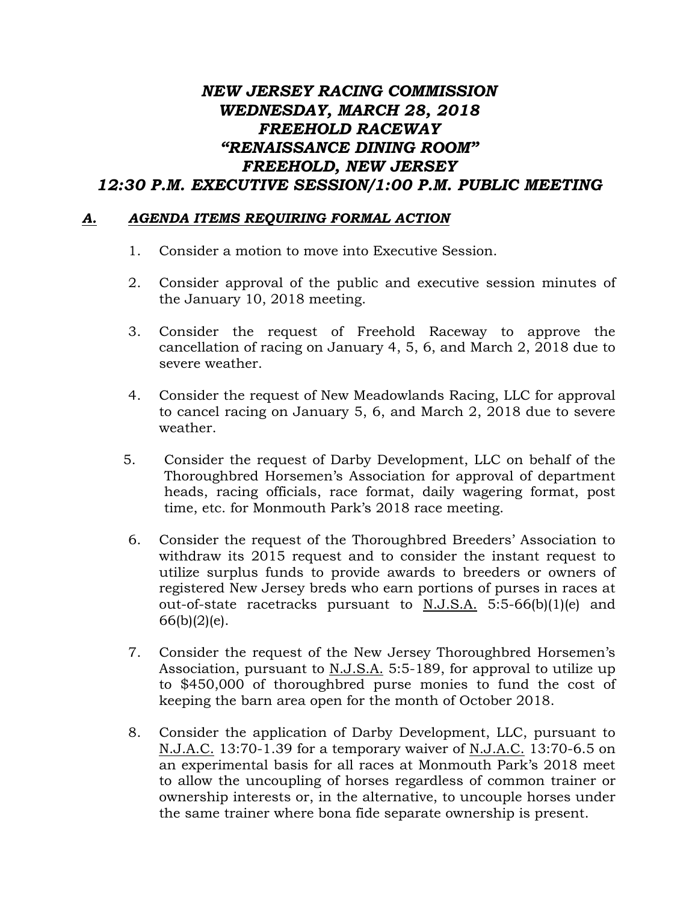## *NEW JERSEY RACING COMMISSION WEDNESDAY, MARCH 28, 2018 FREEHOLD RACEWAY "RENAISSANCE DINING ROOM" FREEHOLD, NEW JERSEY 12:30 P.M. EXECUTIVE SESSION/1:00 P.M. PUBLIC MEETING*

## *A. AGENDA ITEMS REQUIRING FORMAL ACTION*

- 1. Consider a motion to move into Executive Session.
- 2. Consider approval of the public and executive session minutes of the January 10, 2018 meeting.
- 3. Consider the request of Freehold Raceway to approve the cancellation of racing on January 4, 5, 6, and March 2, 2018 due to severe weather.
- 4. Consider the request of New Meadowlands Racing, LLC for approval to cancel racing on January 5, 6, and March 2, 2018 due to severe weather.
- 5. Consider the request of Darby Development, LLC on behalf of the Thoroughbred Horsemen's Association for approval of department heads, racing officials, race format, daily wagering format, post time, etc. for Monmouth Park's 2018 race meeting.
- 6. Consider the request of the Thoroughbred Breeders' Association to withdraw its 2015 request and to consider the instant request to utilize surplus funds to provide awards to breeders or owners of registered New Jersey breds who earn portions of purses in races at out-of-state racetracks pursuant to N.J.S.A. 5:5-66(b)(1)(e) and  $66(b)(2)(e)$ .
- 7. Consider the request of the New Jersey Thoroughbred Horsemen's Association, pursuant to N.J.S.A. 5:5-189, for approval to utilize up to \$450,000 of thoroughbred purse monies to fund the cost of keeping the barn area open for the month of October 2018.
- 8. Consider the application of Darby Development, LLC, pursuant to N.J.A.C. 13:70-1.39 for a temporary waiver of N.J.A.C. 13:70-6.5 on an experimental basis for all races at Monmouth Park's 2018 meet to allow the uncoupling of horses regardless of common trainer or ownership interests or, in the alternative, to uncouple horses under the same trainer where bona fide separate ownership is present.